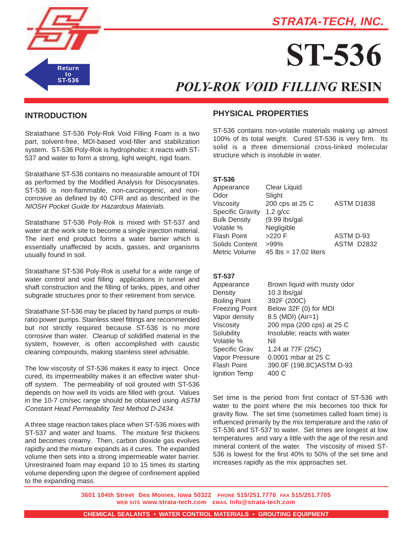

# **STRATA-TECH, INC.**

# **ST-536**

# *POLY-ROK VOID FILLING* **RESIN**

# **INTRODUCTION**

Stratathane ST-536 Poly-Rok Void Filling Foam is a two part, solvent-free, MDI-based void-filler and stabilization system. ST-536 Poly-Rok is hydrophobic: it reacts with ST-537 and water to form a strong, light weight, rigid foam.

Stratathane ST-536 contains no measurable amount of TDI as performed by the Modified Analysis for Diisocyanates. ST-536 is non-flammable, non-carcinogenic, and noncorrosive as defined by 40 CFR and as described in the NIOSH Pocket Guide for Hazardous Materials.

Stratathane ST-536 Poly-Rok is mixed with ST-537 and water at the work site to become a single injection material. The inert end product forms a water barrier which is essentially unaffected by acids, gasses, and organisms usually found in soil.

Stratathane ST-536 Poly-Rok is useful for a wide range of water control and void filling applications in tunnel and shaft construction and the filling of tanks, pipes, and other subgrade structures prior to their retirement from service.

Stratathane ST-536 may be placed by hand pumps or multiratio power pumps. Stainless steel fittings are recommended but not strictly required because ST-536 is no more corrosive than water. Cleanup of solidified material in the system, however, is often accomplished with caustic cleaning compounds, making stainless steel advisable.

The low viscosity of ST-536 makes it easy to inject. Once cured, its impermeability makes it an effective water shutoff system. The permeability of soil grouted with ST-536 depends on how well its voids are filled with grout. Values in the 10-7 cm/sec range should be obtained using ASTM Constant Head Permeability Test Method D-2434.

A three stage reaction takes place when ST-536 mixes with ST-537 and water and foams. The mixture first thickens and becomes creamy. Then, carbon dioxide gas evolves rapidly and the mixture expands as it cures. The expanded volume then sets into a strong impermeable water barrier. Unrestrained foam may expand 10 to 15 times its starting volume depending upon the degree of confinement applied to the expanding mass.

## **PHYSICAL PROPERTIES**

ST-536 contains non-volatile materials making up almost 100% of its total weight. Cured ST-536 is very firm. Its solid is a three dimensional cross-linked molecular structure which is insoluble in water.

#### **ST-536**

| Appearance              | Clear Liquid                   |                   |
|-------------------------|--------------------------------|-------------------|
| Odor                    | Slight                         |                   |
| Viscosity               | 200 cps at 25 C                | <b>ASTM D1838</b> |
| <b>Specific Gravity</b> | $1.2$ g/cc                     |                   |
| <b>Bulk Density</b>     | $(9.99$ lbs/gal                |                   |
| Volatile %              | Negligible                     |                   |
| Flash Point             | $>220$ F                       | ASTM D-93         |
| Solids Content          | $>99\%$                        | <b>ASTM D2832</b> |
| Metric Volume           | 45 $\text{lbs} = 17.02$ liters |                   |

#### **ST-537**

| Appearance           | Brown liquid with musty odor |
|----------------------|------------------------------|
| Density              | 10.3 lbs/gal                 |
| <b>Boiling Point</b> | 392F (200C)                  |
| Freezing Point       | Below 32F (0) for MDI        |
| Vapor density        | 8.5 (MDI) (Air=1)            |
| Viscosity            | 200 mpa (200 cps) at 25 C    |
| Solubility           | Insoluble; reacts with water |
| Volatile %           | Nil                          |
| Specific Grav        | 1.24 at 77F (25C)            |
| Vapor Pressure       | 0.0001 mbar at 25 C          |
| Flash Point          | 390.0F (198.8C) ASTM D-93    |
| Ignition Temp        | 400 C                        |
|                      |                              |

Set time is the period from first contact of ST-536 with water to the point where the mix becomes too thick for gravity flow. The set time (sometimes called foam time) is influenced primarily by the mix temperature and the ratio of ST-536 and ST-537 to water. Set times are longest at low temperatures and vary a little with the age of the resin and mineral content of the water. The viscosity of mixed ST-536 is lowest for the first 40% to 50% of the set time and increases rapidly as the mix approaches set.

**3601 104th Street Des Moines, Iowa 50322 PHONE 515/251.7770 FAX 515/251.7705 WEB SITE www.strata-tech.com EMAIL Info@strata-tech.com**